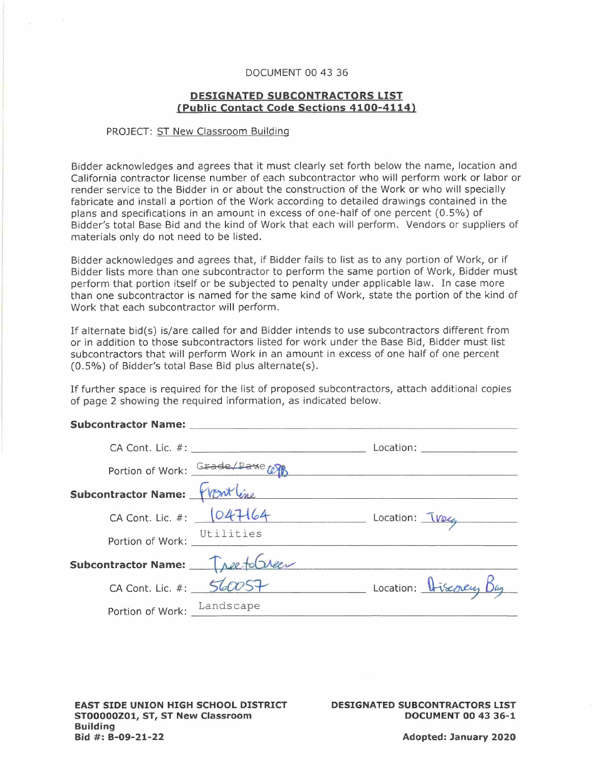## DOCUMENT 00 43 36

## **DESIGNATED SUBCONTRACTORS LIST (Public Contact Code Sections 4100-4114)**

## PROJECT: ST New Classroom Building

Bidder acknowledges and agrees that it must clearly set forth below the name, location and California contractor license number of each subcontractor who will perform work or labor or render service to the Bidder in or about the construction of the Work or who will specially fabricate and install a portion of the Work according to detailed drawings contained in the plans and specifications in an amount in excess of one-half of one percent (0.5%) of Bidder's total Base Bid and the kind of Work that each will perform. Vendors or suppliers of materials only do not need to be listed.

Bidder acknowledges and agrees that, if Bidder fails to list as to any portion of Work, or if Bidder lists more than one subcontractor to perform the same portion of Work, Bidder must perform that portion itself or be subjected to penalty under applicable law. In case more than one subcontractor is named for the same kind of Work, state the portion of the kind of Work that each subcontractor will perform.

If alternate bid(s) is/are called for and Bidder intends to use subcontractors different from or in addition to those subcontractors listed for work under the Base Bid, Bidder must list subcontractors that will perform Work in an amount in excess of one half of one percent (0.5%) of Bidder's total Base Bid plus alternate(s).

If further space is required for the list of proposed subcontractors, attach additional copies of page 2 showing the required information, as indicated below. **Subcontractor Name: \_** 

| Location: _____________________<br>Portion of Work: Grade/Pawe COP<br>Subcontractor Name: Wont line<br>CA Cont. Lic. #: $047164$<br>$Location: \frac{1}{\sqrt{1026}}$<br>Portion of Work: Utilities<br>Subcontractor Name: Tree to Creer<br>Location: Discovery Bay<br>CA Cont. Lic. #: $560057$<br>Portion of Work: Landscape |  |  |
|--------------------------------------------------------------------------------------------------------------------------------------------------------------------------------------------------------------------------------------------------------------------------------------------------------------------------------|--|--|
|                                                                                                                                                                                                                                                                                                                                |  |  |
|                                                                                                                                                                                                                                                                                                                                |  |  |
|                                                                                                                                                                                                                                                                                                                                |  |  |
|                                                                                                                                                                                                                                                                                                                                |  |  |
|                                                                                                                                                                                                                                                                                                                                |  |  |
|                                                                                                                                                                                                                                                                                                                                |  |  |
|                                                                                                                                                                                                                                                                                                                                |  |  |
|                                                                                                                                                                                                                                                                                                                                |  |  |

**EAST SIDE UNION HIGH SCHOOL DISTRICT ST00000Z01, ST, ST New Classroom Building Bid #: B-09-21-22** 

**DESIGNATED SUBCONTRACTORS LIST DOCUMENT 00 43 36-1**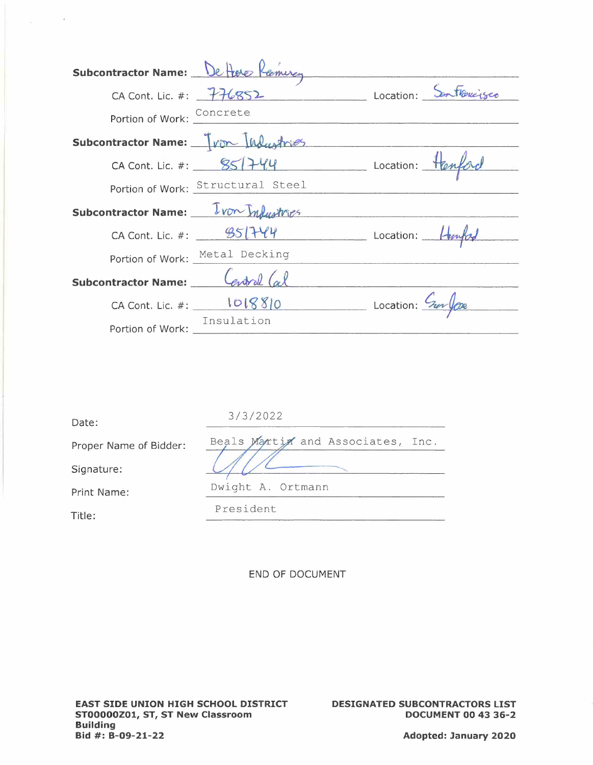| Subcontractor Name: De Here Remurg  |                                   |                                             |
|-------------------------------------|-----------------------------------|---------------------------------------------|
| CA Cont. Lic. #: $776852$           |                                   | Location: Sontroverses                      |
| Portion of Work: Concrete           |                                   |                                             |
| Subcontractor Name: Tron Industries |                                   |                                             |
|                                     |                                   | CA Cont. Lic. #: $957444$ Location: Hanford |
|                                     | Portion of Work: Structural Steel |                                             |
| Subcontractor Name: Von Industries  |                                   |                                             |
|                                     | CA Cont. Lic. #: $951744$         | Location: Hempt                             |
|                                     | Portion of Work: Metal Decking    |                                             |
| Subcontractor Name: Central (al     |                                   |                                             |
|                                     | $CA$ Cont. Lic. #: $1018810$      | Location: Surfaxe                           |
| Portion of Work:                    | Insulation                        |                                             |

| Date:                  | 3/3/2022                          |
|------------------------|-----------------------------------|
| Proper Name of Bidder: | Beals Martin and Associates, Inc. |
| Signature:             |                                   |
| Print Name:            | Dwight A. Ortmann                 |
| Title:                 | President                         |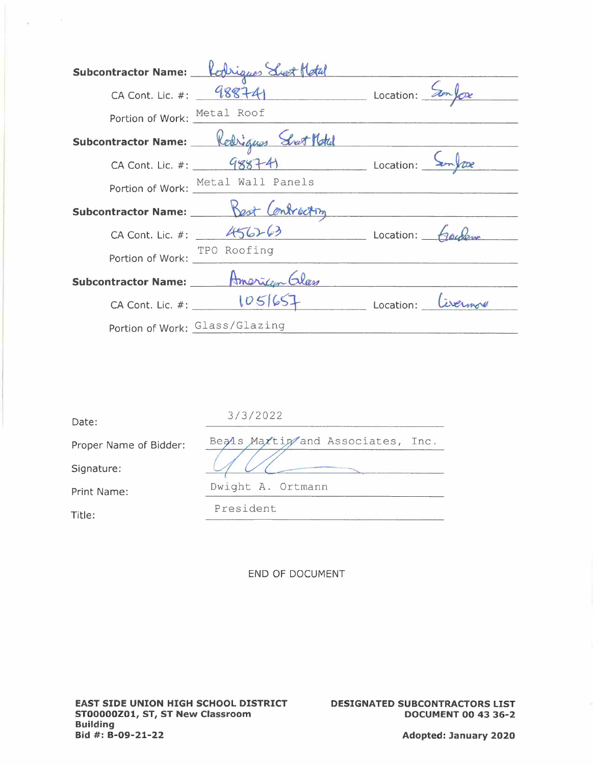|                             | Subcontractor Name: Robigues Sust Motal               |  |
|-----------------------------|-------------------------------------------------------|--|
|                             | CA Cont. Lic. #: $98874$ Location: $\frac{5}{2}$      |  |
| Portion of Work: Metal Roof |                                                       |  |
|                             | Subcontractor Name: Redrigues Sent Motel              |  |
|                             | CA Cont. Lic. #: $48874$<br>Location: $2\pi\sqrt{ax}$ |  |
|                             | Portion of Work: Metal Wall Panels                    |  |
|                             | Subcontractor Name: Best Contracting                  |  |
|                             | CA Cont. Lic. #: $456263$ Location: $400$             |  |
| Portion of Work:            | TPO Roofing                                           |  |
| Subcontractor Name: ___ __  | American Elas                                         |  |
|                             | CA Cont. Lic. #: $1051657$ Location: Civernore        |  |
|                             | Portion of Work: Glass/Glazing                        |  |

| Date:                  | 3/3/2022                          |
|------------------------|-----------------------------------|
| Proper Name of Bidder: | Beals Maxtin and Associates, Inc. |
| Signature:             |                                   |
| Print Name:            | Dwight A. Ortmann                 |
| Title:                 | President                         |

 $\label{eq:11} \frac{\left\vert \mathbf{x}\right\vert }{2}=-\frac{1}{2}\left( 1-\frac{1}{2}\right) ^{2}$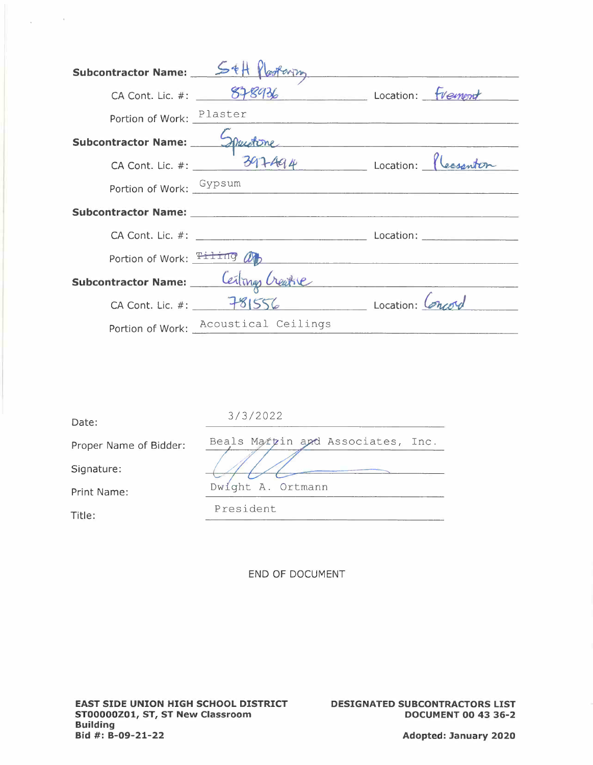| Subcontractor Name: 54H flooteving |                                                | <u> 1980 - An Aonaichte ann an Comhair an Chomhair an Chomhair ann an Chomhair an Chomhair an Chomhair ann an Chom</u> |
|------------------------------------|------------------------------------------------|------------------------------------------------------------------------------------------------------------------------|
|                                    | CA Cont. Lic. #: $878936$ Location: $f$ Vempnt |                                                                                                                        |
|                                    |                                                | Portion of Work: Plaster                                                                                               |
|                                    |                                                | Subcontractor Name: 5 par d'one                                                                                        |
|                                    |                                                | CA Cont. Lic. #: 397494 Location: flessanton                                                                           |
|                                    | Portion of Work: Gypsum                        |                                                                                                                        |
|                                    |                                                |                                                                                                                        |
|                                    |                                                |                                                                                                                        |
|                                    |                                                | Portion of Work: $\frac{T+1}{T+1}$ $\frac{dF}{dt}$                                                                     |
|                                    | Subcontractor Name: Ceiling Creatie            |                                                                                                                        |
|                                    | CA Cont. Lic. #: 781556 Location: Concord      |                                                                                                                        |
|                                    | Portion of Work: Acoustical Ceilings           |                                                                                                                        |

| Date:                  | 3/3/2022                          |
|------------------------|-----------------------------------|
| Proper Name of Bidder: | Beals Martin and Associates, Inc. |
| Signature:             |                                   |
| Print Name:            | Dwight A. Ortmann                 |
| Title:                 | President                         |

 $\Delta \phi = 0.01$ 

**DESIGNATED SUBCONTRACTORS LIST DOCUMENT 00 43 36-2** 

**Adopted: January 2020**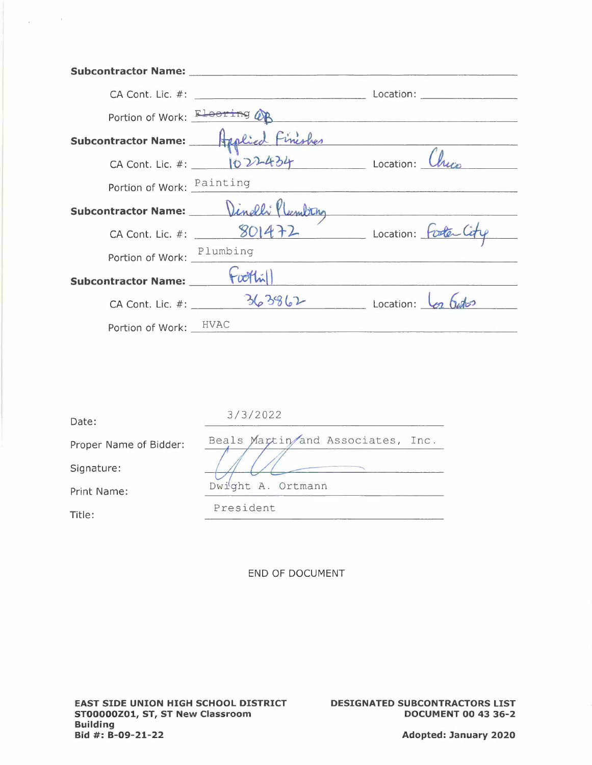|                                   | Subcontractor Name: Mame: Manual Annual Annual Annual Annual Annual Annual Annual Annual Annual Annual Annual |  |
|-----------------------------------|---------------------------------------------------------------------------------------------------------------|--|
|                                   |                                                                                                               |  |
|                                   | Portion of Work: Electing OR                                                                                  |  |
|                                   | Subcontractor Name: Applied Finishes<br>CA Cont. Lic. #: 1022-434                                             |  |
|                                   |                                                                                                               |  |
| Portion of Work: Painting         |                                                                                                               |  |
|                                   | Subcontractor Name: Dinelli flumbing                                                                          |  |
|                                   | CA Cont. Lic. #: 901472 Location: Foote City                                                                  |  |
| Portion of Work: Plumbing         |                                                                                                               |  |
| Subcontractor Name: _____ (w/hill |                                                                                                               |  |
|                                   | CA Cont. Lic. #: $363862$ Location: $\frac{1}{2}$ Casto                                                       |  |
| Portion of Work: HVAC             |                                                                                                               |  |

| Date:                  | 3/3/2022                          |
|------------------------|-----------------------------------|
| Proper Name of Bidder: | Beals Martin and Associates, Inc. |
| Signature:             |                                   |
| Print Name:            | Dwight A. Ortmann                 |
| Title:                 | President                         |

 $\mathcal{A}^{\text{max}}_{\text{max}}$  and  $\mathcal{A}^{\text{max}}_{\text{max}}$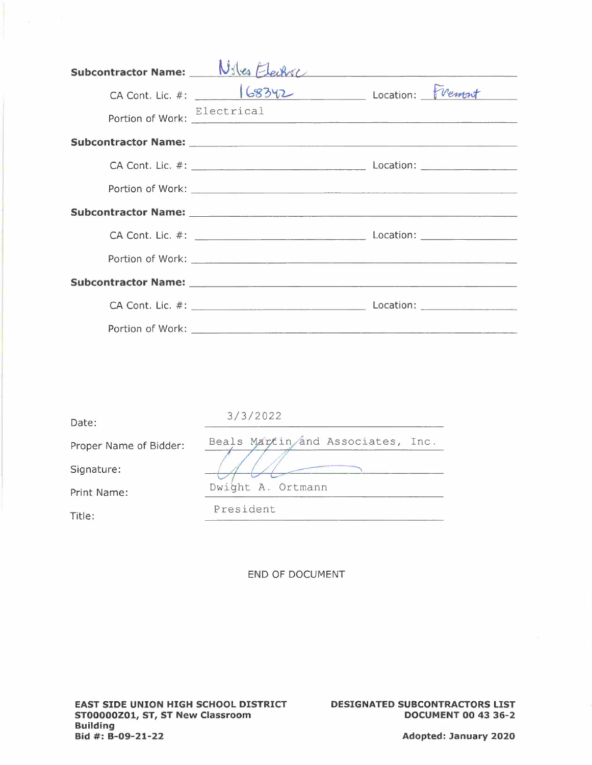|                                           | Subcontractor Name: Niles Electric                                                                            |
|-------------------------------------------|---------------------------------------------------------------------------------------------------------------|
| CA Cont. Lic. #: 168342 Location: FVement |                                                                                                               |
|                                           | Portion of Work: Electrical                                                                                   |
|                                           | Subcontractor Name: 1988 and 2008 and 2008 and 2008 and 2008 and 2008 and 2008 and 2008 and 2008 and 2008 and |
|                                           |                                                                                                               |
|                                           |                                                                                                               |
|                                           |                                                                                                               |
|                                           |                                                                                                               |
|                                           |                                                                                                               |
|                                           |                                                                                                               |
|                                           |                                                                                                               |
|                                           |                                                                                                               |

| Date:                  | 3/3/2022                          |
|------------------------|-----------------------------------|
| Proper Name of Bidder: | Beals Martin/and Associates, Inc. |
| Signature:             |                                   |
| Print Name:            | Dwight A. Ortmann                 |
| Title:                 | President                         |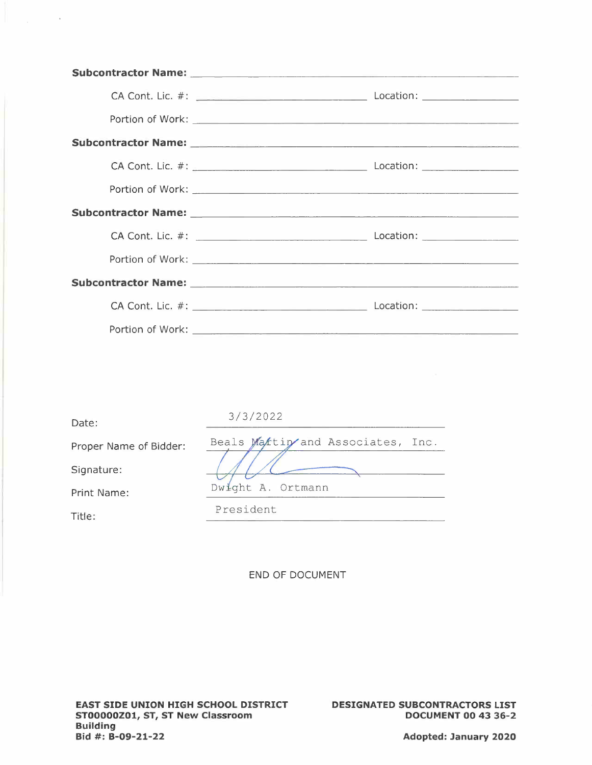| Subcontractor Name: 2008 and 2008 and 2008 and 2008 and 2008 and 2008 and 2008 and 2008 and 2008 and 2008 and |
|---------------------------------------------------------------------------------------------------------------|
|                                                                                                               |
|                                                                                                               |
|                                                                                                               |
|                                                                                                               |
|                                                                                                               |
|                                                                                                               |
|                                                                                                               |
|                                                                                                               |
|                                                                                                               |
|                                                                                                               |
|                                                                                                               |

| Date:                  | 3/3/2022                          |
|------------------------|-----------------------------------|
| Proper Name of Bidder: | Beals Maktin and Associates, Inc. |
| Signature:             |                                   |
| Print Name:            | Dwight A. Ortmann                 |
| Title:                 | President                         |

 $\mathcal{L}_{\text{max}}$  and  $\mathcal{L}_{\text{max}}$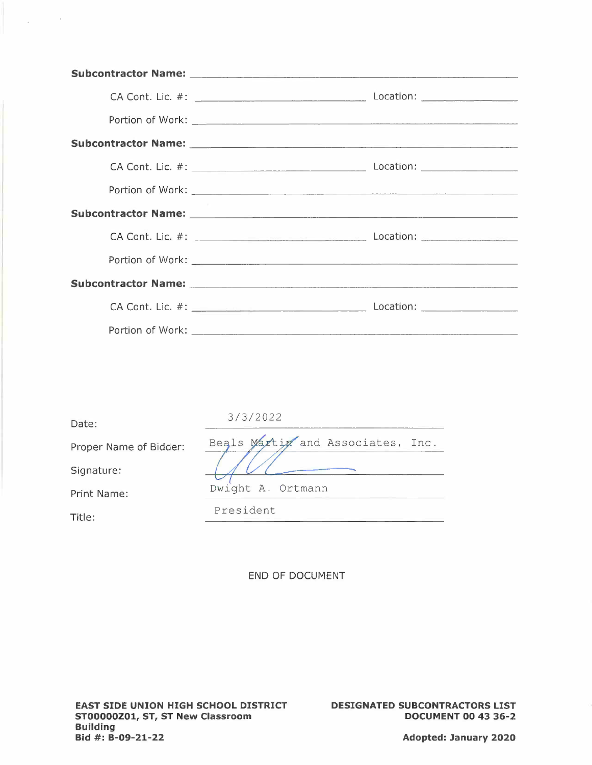| Subcontractor Name: Mame: Annual Account of the Contractor Name: Account of the Contractor Contractor Contractor |
|------------------------------------------------------------------------------------------------------------------|
|                                                                                                                  |
|                                                                                                                  |
|                                                                                                                  |
|                                                                                                                  |
|                                                                                                                  |
|                                                                                                                  |
|                                                                                                                  |
|                                                                                                                  |
|                                                                                                                  |
|                                                                                                                  |
|                                                                                                                  |

| Date:                  | 3/3/2022                          |
|------------------------|-----------------------------------|
| Proper Name of Bidder: | Beals Maxtim and Associates, Inc. |
| Signature:             |                                   |
| Print Name:            | Dwight A. Ortmann                 |
| Title:                 | President                         |

 $\Delta \phi = 0.002$ 

**DESIGNATED SUBCONTRACTORS LIST DOCUMENT 00 43 36-2**